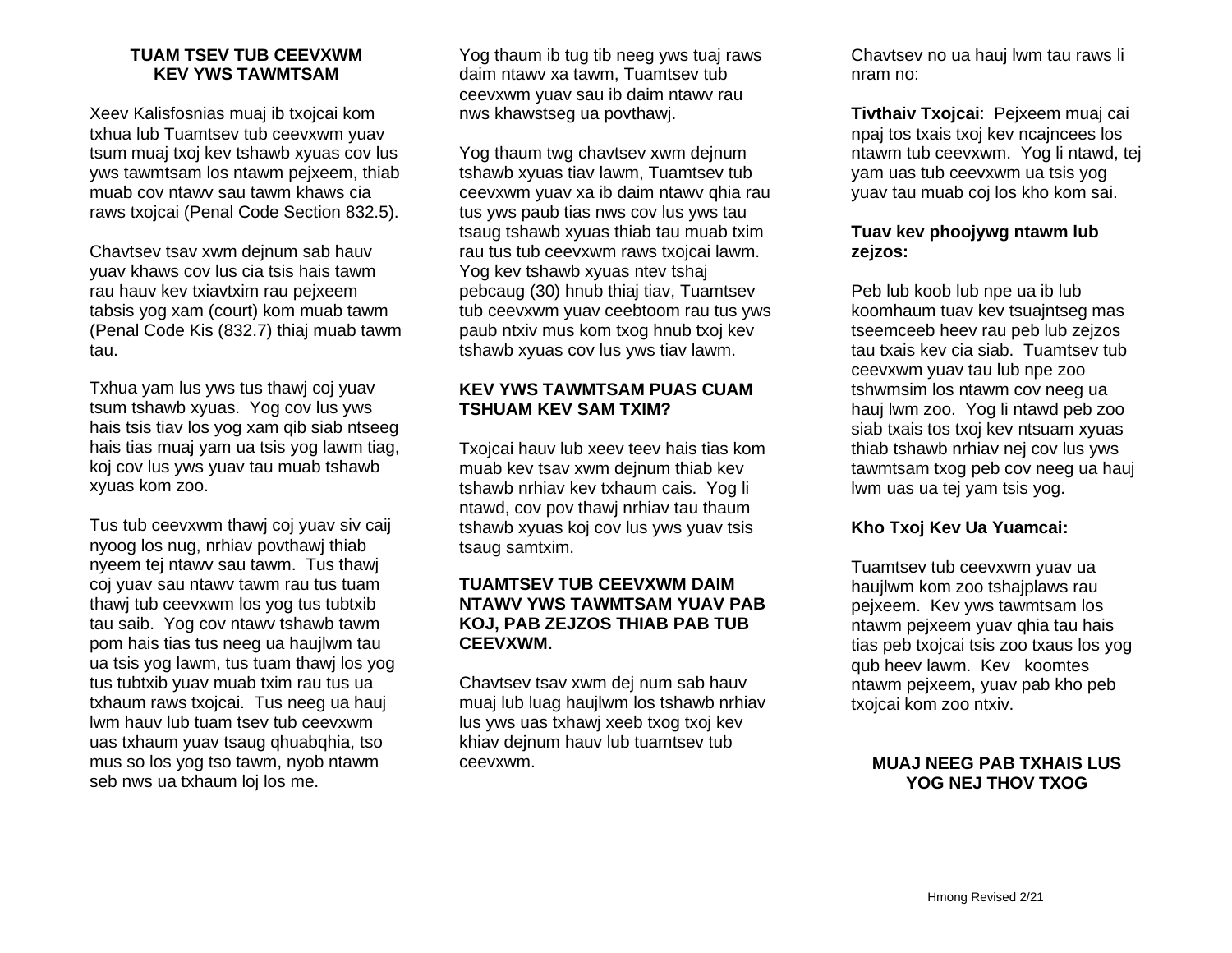### **TUAM TSEV TUB CEEVXWM KEV YWS TAWMTSAM**

Xeev Kalisfosnias muaj ib txojcai kom txhua lub Tuamtsev tub ceevxwm yuav tsum muaj txoj kev tshawb xyuas cov lus yws tawmtsam los ntawm pejxeem, thiab muab cov ntawv sau tawm khaws cia raws txojcai (Penal Code Section 832.5).

Chavtsev tsav xwm dejnum sab hauv yuav khaws cov lus cia tsis hais tawm rau hauv kev txiavtxim rau pejxeem tabsis yog xam (court) kom muab tawm (Penal Code Kis (832.7) thiaj muab tawm tau.

Txhua yam lus yws tus thawj coj yuav tsum tshawb xyuas. Yog cov lus yws hais tsis tiav los yog xam qib siab ntseeg hais tias muaj yam ua tsis yog lawm tiag, koj cov lus yws yuav tau muab tshawb xyuas kom zoo.

Tus tub ceevxwm thawj coj yuav siv caij nyoog los nug, nrhiav povthawj thiab nyeem tej ntawv sau tawm. Tus thawj coj yuav sau ntawv tawm rau tus tuam thawj tub ceevxwm los yog tus tubtxib tau saib. Yog cov ntawv tshawb tawm pom hais tias tus neeg ua haujlwm tau ua tsis yog lawm, tus tuam thawj los yog tus tubtxib yuav muab txim rau tus ua txhaum raws txojcai. Tus neeg ua hauj lwm hauv lub tuam tsev tub ceevxwm uas txhaum yuav tsaug qhuabqhia, tso mus so los yog tso tawm, nyob ntawm seb nws ua txhaum loj los me.

Yog thaum ib tug tib neeg yws tuaj raws daim ntawv xa tawm, Tuamtsev tub ceevxwm yuav sau ib daim ntawv rau nws khawstseg ua povthawj.

Yog thaum twg chavtsev xwm dejnum tshawb xyuas tiav lawm, Tuamtsev tub ceevxwm yuav xa ib daim ntawv qhia rau tus yws paub tias nws cov lus yws tau tsaug tshawb xyuas thiab tau muab txim rau tus tub ceevxwm raws txojcai lawm. Yog kev tshawb xyuas ntev tshaj pebcaug (30) hnub thiaj tiav, Tuamtsev tub ceevxwm yuav ceebtoom rau tus yws paub ntxiv mus kom txog hnub txoj kev tshawb xyuas cov lus yws tiav lawm.

# **KEV YWS TAWMTSAM PUAS CUAM TSHUAM KEV SAM TXIM?**

Txojcai hauv lub xeev teev hais tias kom muab kev tsav xwm dejnum thiab kev tshawb nrhiav kev txhaum cais. Yog li ntawd, cov pov thawj nrhiav tau thaum tshawb xyuas koj cov lus yws yuav tsis tsaug samtxim.

# **TUAMTSEV TUB CEEVXWM DAIM NTAWV YWS TAWMTSAM YUAV PAB KOJ, PAB ZEJZOS THIAB PAB TUB CEEVXWM.**

Chavtsev tsav xwm dej num sab hauv muaj lub luag haujlwm los tshawb nrhiav lus yws uas txhawj xeeb txog txoj kev khiav dejnum hauv lub tuamtsev tub ceevxwm.

Chavtsev no ua hauj lwm tau raws li nram no:

**Tivthaiv Txojcai**: Pejxeem muaj cai npaj tos txais txoj kev ncajncees los ntawm tub ceevxwm. Yog li ntawd, tej yam uas tub ceevxwm ua tsis yog yuav tau muab coj los kho kom sai.

# **Tuav kev phoojywg ntawm lub zejzos:**

Peb lub koob lub npe ua ib lub koomhaum tuav kev tsuajntseg mas tseemceeb heev rau peb lub zejzos tau txais kev cia siab. Tuamtsev tub ceevxwm yuav tau lub npe zoo tshwmsim los ntawm cov neeg ua hauj lwm zoo. Yog li ntawd peb zoo siab txais tos txoj kev ntsuam xyuas thiab tshawb nrhiav nej cov lus yws tawmtsam txog peb cov neeg ua hauj lwm uas ua tej yam tsis yog.

## **Kho Txoj Kev Ua Yuamcai:**

Tuamtsev tub ceevxwm yuav ua haujlwm kom zoo tshajplaws rau pejxeem. Kev yws tawmtsam los ntawm pejxeem yuav qhia tau hais tias peb txojcai tsis zoo txaus los yog qub heev lawm. Kev koomtes ntawm pejxeem, yuav pab kho peb txojcai kom zoo ntxiv.

# **MUAJ NEEG PAB TXHAIS LUS YOG NEJ THOV TXOG**